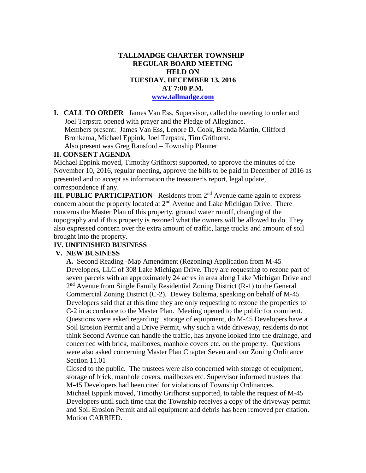## **TALLMADGE CHARTER TOWNSHIP REGULAR BOARD MEETING HELD ON TUESDAY, DECEMBER 13, 2016 AT 7:00 P.M. [www.tallmadge.com](http://www.tallmadge.com/)**

**I. CALL TO ORDER** James Van Ess, Supervisor, called the meeting to order and Joel Terpstra opened with prayer and the Pledge of Allegiance. Members present: James Van Ess, Lenore D. Cook, Brenda Martin, Clifford Bronkema, Michael Eppink, Joel Terpstra, Tim Grifhorst. Also present was Greg Ransford – Township Planner

## **II. CONSENT AGENDA**

Michael Eppink moved, Timothy Grifhorst supported, to approve the minutes of the November 10, 2016, regular meeting, approve the bills to be paid in December of 2016 as presented and to accept as information the treasurer's report, legal update, correspondence if any.

**III. PUBLIC PARTICIPATION** Residents from 2<sup>nd</sup> Avenue came again to express concern about the property located at 2<sup>nd</sup> Avenue and Lake Michigan Drive. There concerns the Master Plan of this property, ground water runoff, changing of the topography and if this property is rezoned what the owners will be allowed to do. They also expressed concern over the extra amount of traffic, large trucks and amount of soil brought into the property.

## **IV. UNFINISHED BUSINESS**

## **V. NEW BUSINESS**

 **A.** Second Reading -Map Amendment (Rezoning) Application from M-45 Developers, LLC of 308 Lake Michigan Drive. They are requesting to rezone part of seven parcels with an approximately 24 acres in area along Lake Michigan Drive and 2nd Avenue from Single Family Residential Zoning District (R-1) to the General Commercial Zoning District (C-2). Dewey Bultsma, speaking on behalf of M-45 Developers said that at this time they are only requesting to rezone the properties to C-2 in accordance to the Master Plan. Meeting opened to the public for comment. Questions were asked regarding: storage of equipment, do M-45 Developers have a Soil Erosion Permit and a Drive Permit, why such a wide driveway, residents do not think Second Avenue can handle the traffic, has anyone looked into the drainage, and concerned with brick, mailboxes, manhole covers etc. on the property. Questions were also asked concerning Master Plan Chapter Seven and our Zoning Ordinance Section 11.01

 Closed to the public. The trustees were also concerned with storage of equipment, storage of brick, manhole covers, mailboxes etc. Supervisor informed trustees that M-45 Developers had been cited for violations of Township Ordinances.

 Michael Eppink moved, Timothy Grifhorst supported, to table the request of M-45 Developers until such time that the Township receives a copy of the driveway permit and Soil Erosion Permit and all equipment and debris has been removed per citation. Motion CARRIED.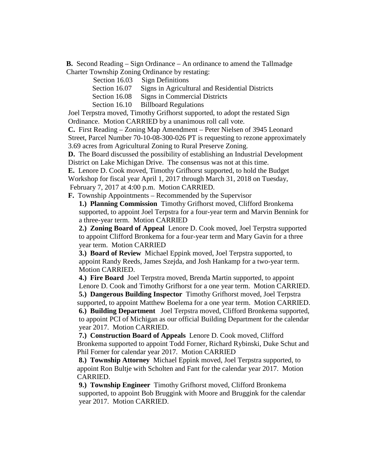**B.** Second Reading – Sign Ordinance – An ordinance to amend the Tallmadge Charter Township Zoning Ordinance by restating:

Section 16.03 Sign Definitions

Section 16.07 Signs in Agricultural and Residential Districts

Section 16.08 Signs in Commercial Districts

Section 16.10 Billboard Regulations

 Joel Terpstra moved, Timothy Grifhorst supported, to adopt the restated Sign Ordinance. Motion CARRIED by a unanimous roll call vote.

 **C.** First Reading – Zoning Map Amendment – Peter Nielsen of 3945 Leonard Street, Parcel Number 70-10-08-300-026 PT is requesting to rezone approximately 3.69 acres from Agricultural Zoning to Rural Preserve Zoning.

 **D.** The Board discussed the possibility of establishing an Industrial Development District on Lake Michigan Drive. The consensus was not at this time.

 **E.** Lenore D. Cook moved, Timothy Grifhorst supported, to hold the Budget Workshop for fiscal year April 1, 2017 through March 31, 2018 on Tuesday, February 7, 2017 at 4:00 p.m. Motion CARRIED.

**F.** Township Appointments – Recommended by the Supervisor

 **1.) Planning Commission** Timothy Grifhorst moved, Clifford Bronkema supported, to appoint Joel Terpstra for a four-year term and Marvin Bennink for a three-year term. Motion CARRIED

 **2.) Zoning Board of Appeal** Lenore D. Cook moved, Joel Terpstra supported to appoint Clifford Bronkema for a four-year term and Mary Gavin for a three year term. Motion CARRIED

 **3.) Board of Review** Michael Eppink moved, Joel Terpstra supported, to appoint Randy Reeds, James Szejda, and Josh Hankamp for a two-year term. Motion CARRIED.

 **4.) Fire Board** Joel Terpstra moved, Brenda Martin supported, to appoint Lenore D. Cook and Timothy Grifhorst for a one year term. Motion CARRIED.  **5.) Dangerous Building Inspector** Timothy Grifhorst moved, Joel Terpstra

 supported, to appoint Matthew Boelema for a one year term. Motion CARRIED.  **6.) Building Department** Joel Terpstra moved, Clifford Bronkema supported, to appoint PCI of Michigan as our official Building Department for the calendar year 2017. Motion CARRIED.

 **7.) Construction Board of Appeals** Lenore D. Cook moved, Clifford Bronkema supported to appoint Todd Forner, Richard Rybinski, Duke Schut and Phil Forner for calendar year 2017. Motion CARRIED

 **8.) Township Attorney** Michael Eppink moved, Joel Terpstra supported, to appoint Ron Bultje with Scholten and Fant for the calendar year 2017. Motion CARRIED.

 **9.) Township Engineer** Timothy Grifhorst moved, Clifford Bronkema supported, to appoint Bob Bruggink with Moore and Bruggink for the calendar year 2017. Motion CARRIED.